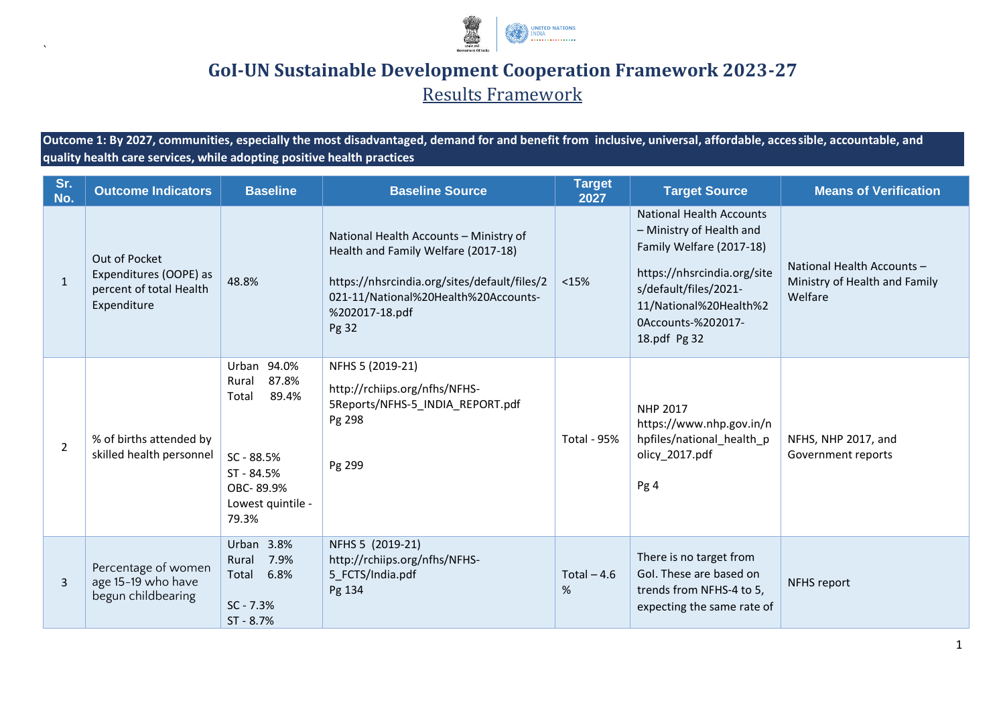

## **GoI-UN Sustainable Development Cooperation Framework 2023-27**

Results Framework

**Outcome 1: By 2027, communities, especially the most disadvantaged, demand for and benefit from inclusive, universal, affordable, accessible, accountable, and quality health care services, while adopting positive health practices**

`

| Sr.<br>No.     | <b>Outcome Indicators</b>                                                         | <b>Baseline</b>                                                                                                                                                                                                                     | <b>Baseline Source</b>                                                                                                                                                                           | <b>Target</b><br>2027 | <b>Target Source</b>                                                                                                                                                                                     | <b>Means of Verification</b>                                           |
|----------------|-----------------------------------------------------------------------------------|-------------------------------------------------------------------------------------------------------------------------------------------------------------------------------------------------------------------------------------|--------------------------------------------------------------------------------------------------------------------------------------------------------------------------------------------------|-----------------------|----------------------------------------------------------------------------------------------------------------------------------------------------------------------------------------------------------|------------------------------------------------------------------------|
| $\mathbf{1}$   | Out of Pocket<br>Expenditures (OOPE) as<br>percent of total Health<br>Expenditure | 48.8%                                                                                                                                                                                                                               | National Health Accounts - Ministry of<br>Health and Family Welfare (2017-18)<br>https://nhsrcindia.org/sites/default/files/2<br>021-11/National%20Health%20Accounts-<br>%202017-18.pdf<br>Pg 32 | < 15%                 | National Health Accounts<br>- Ministry of Health and<br>Family Welfare (2017-18)<br>https://nhsrcindia.org/site<br>s/default/files/2021-<br>11/National%20Health%2<br>0Accounts-%202017-<br>18.pdf Pg 32 | National Health Accounts -<br>Ministry of Health and Family<br>Welfare |
| $\overline{2}$ | % of births attended by<br>skilled health personnel                               | Urban 94.0%<br>NFHS 5 (2019-21)<br>87.8%<br>Rural<br>http://rchiips.org/nfhs/NFHS-<br>89.4%<br>Total<br>5Reports/NFHS-5 INDIA REPORT.pdf<br>Pg 298<br>SC - 88.5%<br>Pg 299<br>ST - 84.5%<br>OBC-89.9%<br>Lowest quintile -<br>79.3% |                                                                                                                                                                                                  | <b>Total - 95%</b>    | <b>NHP 2017</b><br>https://www.nhp.gov.in/n<br>hpfiles/national_health_p<br>olicy_2017.pdf<br>Pg 4                                                                                                       | NFHS, NHP 2017, and<br>Government reports                              |
| 3              | Percentage of women<br>age 15-19 who have<br>begun childbearing                   | Urban 3.8%<br>7.9%<br>Rural<br>6.8%<br>Total<br>$SC - 7.3%$<br>ST - 8.7%                                                                                                                                                            | NFHS 5 (2019-21)<br>http://rchiips.org/nfhs/NFHS-<br>5_FCTS/India.pdf<br>Pg 134                                                                                                                  | Total $-4.6$<br>%     | There is no target from<br>Gol. These are based on<br>trends from NFHS-4 to 5,<br>expecting the same rate of                                                                                             | NFHS report                                                            |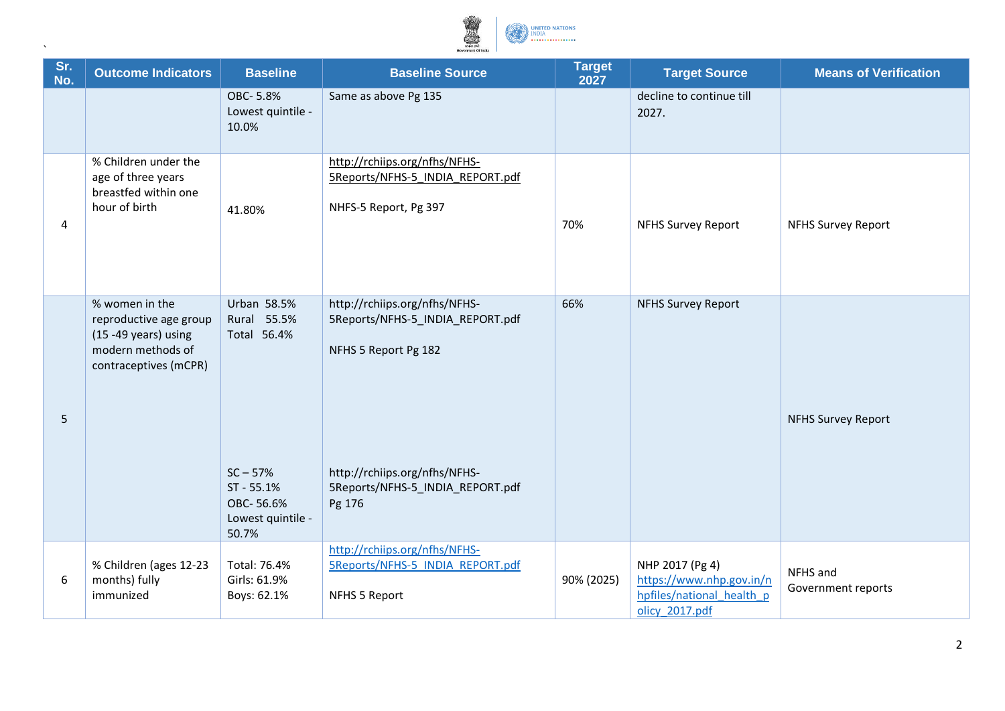

| Sr.<br>No. | <b>Outcome Indicators</b>                                                                                       | <b>Baseline</b>                                                                                                  | <b>Baseline Source</b>                                                                                                                                                   | <b>Target</b><br>2027 | <b>Target Source</b>                                                                       | <b>Means of Verification</b>   |
|------------|-----------------------------------------------------------------------------------------------------------------|------------------------------------------------------------------------------------------------------------------|--------------------------------------------------------------------------------------------------------------------------------------------------------------------------|-----------------------|--------------------------------------------------------------------------------------------|--------------------------------|
|            |                                                                                                                 | OBC-5.8%<br>Lowest quintile -<br>10.0%                                                                           | Same as above Pg 135                                                                                                                                                     |                       | decline to continue till<br>2027.                                                          |                                |
| 4          | % Children under the<br>age of three years<br>breastfed within one<br>hour of birth                             | 41.80%                                                                                                           | http://rchiips.org/nfhs/NFHS-<br>5Reports/NFHS-5 INDIA REPORT.pdf<br>NHFS-5 Report, Pg 397                                                                               | 70%                   | <b>NFHS Survey Report</b>                                                                  | <b>NFHS Survey Report</b>      |
| 5          | % women in the<br>reproductive age group<br>(15 - 49 years) using<br>modern methods of<br>contraceptives (mCPR) | Urban 58.5%<br>Rural 55.5%<br>Total 56.4%<br>$SC - 57%$<br>ST - 55.1%<br>OBC-56.6%<br>Lowest quintile -<br>50.7% | http://rchiips.org/nfhs/NFHS-<br>5Reports/NFHS-5 INDIA REPORT.pdf<br>NFHS 5 Report Pg 182<br>http://rchiips.org/nfhs/NFHS-<br>5Reports/NFHS-5_INDIA_REPORT.pdf<br>Pg 176 | 66%                   | <b>NFHS Survey Report</b>                                                                  | <b>NFHS Survey Report</b>      |
| 6          | % Children (ages 12-23<br>months) fully<br>immunized                                                            | Total: 76.4%<br>Girls: 61.9%<br>Boys: 62.1%                                                                      | http://rchiips.org/nfhs/NFHS-<br>5Reports/NFHS-5 INDIA REPORT.pdf<br>NFHS 5 Report                                                                                       | 90% (2025)            | NHP 2017 (Pg 4)<br>https://www.nhp.gov.in/n<br>hpfiles/national health p<br>olicy 2017.pdf | NFHS and<br>Government reports |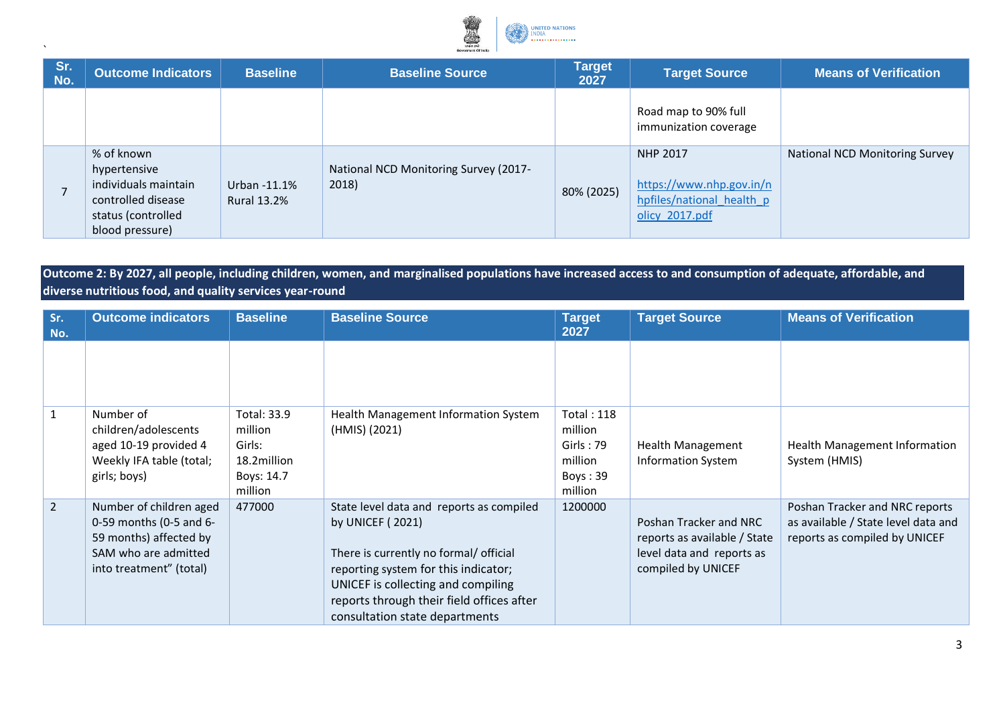

| Sr.<br>No.               | <b>Outcome Indicators</b>                                                                                         | <b>Baseline</b>                    | <b>Baseline Source</b>                         | <b>Target</b><br>2027 | <b>Target Source</b>                                                                | <b>Means of Verification</b>   |
|--------------------------|-------------------------------------------------------------------------------------------------------------------|------------------------------------|------------------------------------------------|-----------------------|-------------------------------------------------------------------------------------|--------------------------------|
|                          |                                                                                                                   |                                    |                                                |                       | Road map to 90% full<br>immunization coverage                                       |                                |
| $\overline{\phantom{a}}$ | % of known<br>hypertensive<br>individuals maintain<br>controlled disease<br>status (controlled<br>blood pressure) | Urban -11.1%<br><b>Rural 13.2%</b> | National NCD Monitoring Survey (2017-<br>2018) | 80% (2025)            | NHP 2017<br>https://www.nhp.gov.in/n<br>hpfiles/national health p<br>olicy 2017.pdf | National NCD Monitoring Survey |

## **Outcome 2: By 2027, all people, including children, women, and marginalised populations have increased access to and consumption of adequate, affordable, and diverse nutritious food, and quality services year-round**

| Sr.<br>No.     | <b>Outcome indicators</b>                                                                                                       | <b>Baseline</b>                                                                 | <b>Baseline Source</b>                                                                                                                                                                                                                                              | <b>Target</b><br>2027                                                       | <b>Target Source</b>                                                                                      | <b>Means of Verification</b>                                                                           |
|----------------|---------------------------------------------------------------------------------------------------------------------------------|---------------------------------------------------------------------------------|---------------------------------------------------------------------------------------------------------------------------------------------------------------------------------------------------------------------------------------------------------------------|-----------------------------------------------------------------------------|-----------------------------------------------------------------------------------------------------------|--------------------------------------------------------------------------------------------------------|
|                |                                                                                                                                 |                                                                                 |                                                                                                                                                                                                                                                                     |                                                                             |                                                                                                           |                                                                                                        |
| $\mathbf{1}$   | Number of<br>children/adolescents<br>aged 10-19 provided 4<br>Weekly IFA table (total;<br>girls; boys)                          | <b>Total: 33.9</b><br>million<br>Girls:<br>18.2million<br>Boys: 14.7<br>million | Health Management Information System<br>(HMIS) (2021)                                                                                                                                                                                                               | <b>Total: 118</b><br>million<br>Girls: 79<br>million<br>Boys: 39<br>million | <b>Health Management</b><br><b>Information System</b>                                                     | <b>Health Management Information</b><br>System (HMIS)                                                  |
| 2 <sup>1</sup> | Number of children aged<br>0-59 months (0-5 and 6-<br>59 months) affected by<br>SAM who are admitted<br>into treatment" (total) | 477000                                                                          | State level data and reports as compiled<br>by UNICEF (2021)<br>There is currently no formal/ official<br>reporting system for this indicator;<br>UNICEF is collecting and compiling<br>reports through their field offices after<br>consultation state departments | 1200000                                                                     | Poshan Tracker and NRC<br>reports as available / State<br>level data and reports as<br>compiled by UNICEF | Poshan Tracker and NRC reports<br>as available / State level data and<br>reports as compiled by UNICEF |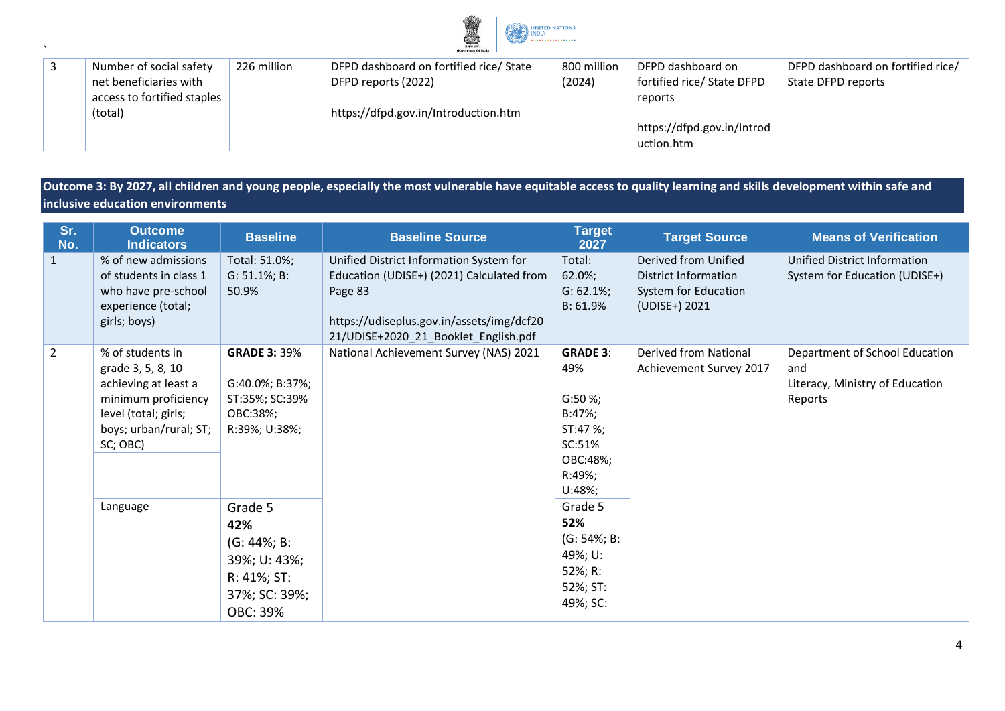

| Number of social safety     | 226 million | DFPD dashboard on fortified rice/ State | 800 million | DFPD dashboard on          | DFPD dashboard on fortified rice/ |  |  |
|-----------------------------|-------------|-----------------------------------------|-------------|----------------------------|-----------------------------------|--|--|
| net beneficiaries with      |             | DFPD reports (2022)                     | (2024)      | fortified rice/ State DFPD | State DFPD reports                |  |  |
| access to fortified staples |             |                                         |             | reports                    |                                   |  |  |
| (total)                     |             | https://dfpd.gov.in/Introduction.htm    |             |                            |                                   |  |  |
|                             |             |                                         |             | https://dfpd.gov.in/Introd |                                   |  |  |
|                             |             |                                         |             | uction.htm                 |                                   |  |  |

**Outcome 3: By 2027, all children and young people, especially the most vulnerable have equitable access to quality learning and skills development within safe and inclusive education environments**

| Sr.<br>No.     | <b>Outcome</b><br><b>Indicators</b>                                                                                                                | <b>Baseline</b>                                                                              | <b>Baseline Source</b>                                                                                                                                                               | <b>Target</b><br>2027                                                                                 | <b>Target Source</b>                                                                  | <b>Means of Verification</b>                                                        |
|----------------|----------------------------------------------------------------------------------------------------------------------------------------------------|----------------------------------------------------------------------------------------------|--------------------------------------------------------------------------------------------------------------------------------------------------------------------------------------|-------------------------------------------------------------------------------------------------------|---------------------------------------------------------------------------------------|-------------------------------------------------------------------------------------|
| $\mathbf{1}$   | % of new admissions<br>of students in class 1<br>who have pre-school<br>experience (total;<br>girls; boys)                                         | Total: 51.0%;<br>$G: 51.1\%; B:$<br>50.9%                                                    | Unified District Information System for<br>Education (UDISE+) (2021) Calculated from<br>Page 83<br>https://udiseplus.gov.in/assets/img/dcf20<br>21/UDISE+2020_21_Booklet_English.pdf | Total:<br>62.0%;<br>$G: 62.1\%;$<br>B: 61.9%                                                          | Derived from Unified<br>District Information<br>System for Education<br>(UDISE+) 2021 | Unified District Information<br>System for Education (UDISE+)                       |
| $\overline{2}$ | % of students in<br>grade 3, 5, 8, 10<br>achieving at least a<br>minimum proficiency<br>level (total; girls;<br>boys; urban/rural; ST;<br>SC; OBC) | <b>GRADE 3: 39%</b><br>G:40.0%; B:37%;<br>ST:35%; SC:39%<br>OBC:38%;<br>R:39%; U:38%;        | National Achievement Survey (NAS) 2021                                                                                                                                               | <b>GRADE 3:</b><br>49%<br>G:50%<br>$B:47\%;$<br>ST:47 %;<br>SC:51%<br>OBC:48%;<br>R:49%;<br>$U:48\%;$ | <b>Derived from National</b><br>Achievement Survey 2017                               | Department of School Education<br>and<br>Literacy, Ministry of Education<br>Reports |
|                | Language                                                                                                                                           | Grade 5<br>42%<br>$(G: 44\%; B:$<br>39%; U: 43%;<br>R: 41%; ST:<br>37%; SC: 39%;<br>OBC: 39% |                                                                                                                                                                                      | Grade 5<br>52%<br>$(G: 54\%; B:$<br>49%; U:<br>52%; R:<br>52%; ST:<br>49%; SC:                        |                                                                                       |                                                                                     |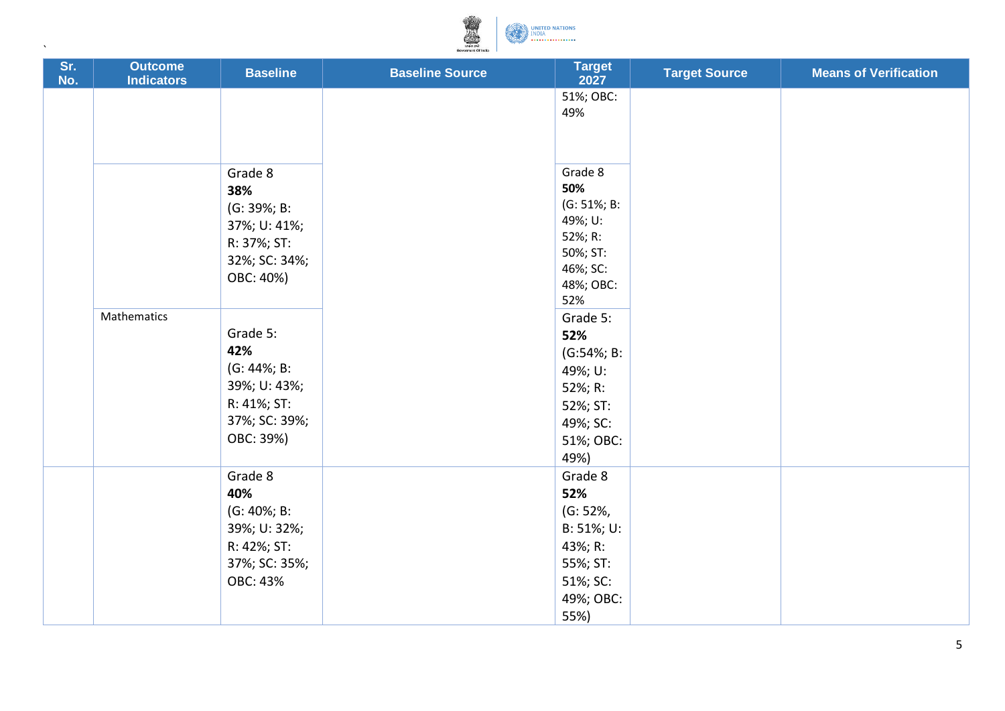

 $\bar{\mathbf{v}}$ 

| Sr.<br>No. | <b>Outcome</b><br><b>Indicators</b> | <b>Baseline</b>                                                                                     | <b>Baseline Source</b> | <b>Target</b><br>2027                                                                               | <b>Target Source</b> | <b>Means of Verification</b> |
|------------|-------------------------------------|-----------------------------------------------------------------------------------------------------|------------------------|-----------------------------------------------------------------------------------------------------|----------------------|------------------------------|
|            |                                     |                                                                                                     |                        | 51%; OBC:<br>49%                                                                                    |                      |                              |
|            |                                     | Grade 8<br>38%<br>(G: 39%; B:<br>37%; U: 41%;<br>R: 37%; ST:<br>32%; SC: 34%;<br>OBC: 40%)          |                        | Grade 8<br>50%<br>$(G: 51\%; B:$<br>49%; U:<br>52%; R:<br>50%; ST:<br>46%; SC:<br>48%; OBC:<br>52%  |                      |                              |
|            | Mathematics                         | Grade 5:<br>42%<br>$(G: 44\%; B:$<br>39%; U: 43%;<br>R: 41%; ST:<br>37%; SC: 39%;<br>OBC: 39%)      |                        | Grade 5:<br>52%<br>$(G:54\%; B:$<br>49%; U:<br>52%; R:<br>52%; ST:<br>49%; SC:<br>51%; OBC:<br>49%) |                      |                              |
|            |                                     | Grade 8<br>40%<br>$(G: 40\%; B:$<br>39%; U: 32%;<br>R: 42%; ST:<br>37%; SC: 35%;<br><b>OBC: 43%</b> |                        | Grade 8<br>52%<br>(G: 52%,<br>B: 51%; U:<br>43%; R:<br>55%; ST:<br>51%; SC:<br>49%; OBC:<br>55%)    |                      |                              |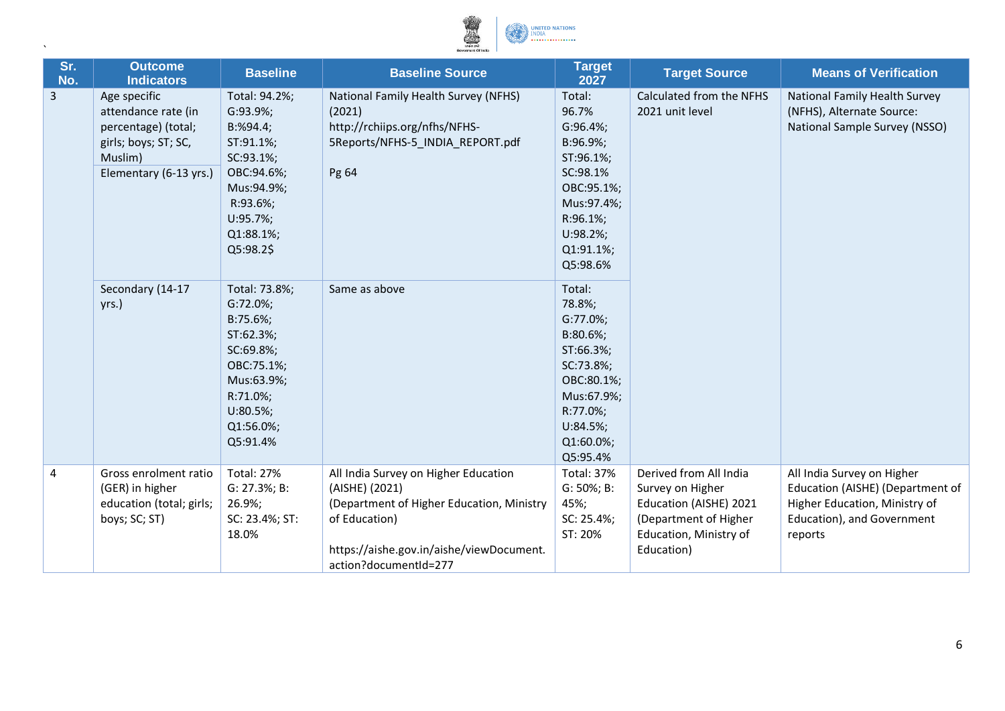

 $\bar{\mathbf{v}}$ 

| Sr.<br>No. | <b>Outcome</b><br><b>Indicators</b>                                                                                     | <b>Baseline</b>                                                                                                                                   | <b>Baseline Source</b>                                                                                                                                                                    | <b>Target</b><br>2027                                                                                                                                    | <b>Target Source</b>                                                                                                                  | <b>Means of Verification</b>                                                                                                             |
|------------|-------------------------------------------------------------------------------------------------------------------------|---------------------------------------------------------------------------------------------------------------------------------------------------|-------------------------------------------------------------------------------------------------------------------------------------------------------------------------------------------|----------------------------------------------------------------------------------------------------------------------------------------------------------|---------------------------------------------------------------------------------------------------------------------------------------|------------------------------------------------------------------------------------------------------------------------------------------|
| 3          | Age specific<br>attendance rate (in<br>percentage) (total;<br>girls; boys; ST; SC,<br>Muslim)<br>Elementary (6-13 yrs.) | Total: 94.2%;<br>G:93.9%;<br>B: %94.4;<br>ST:91.1%;<br>SC:93.1%;<br>OBC:94.6%;<br>Mus:94.9%;<br>R:93.6%;<br>$U:95.7\%;$<br>Q1:88.1%;<br>Q5:98.2\$ | National Family Health Survey (NFHS)<br>(2021)<br>http://rchiips.org/nfhs/NFHS-<br>5Reports/NFHS-5 INDIA REPORT.pdf<br>Pg 64                                                              | Total:<br>96.7%<br>G:96.4%<br>B:96.9%;<br>ST:96.1%;<br>SC:98.1%<br>OBC:95.1%;<br>Mus:97.4%;<br>R:96.1%;<br>$U:98.2\%;$<br>Q1:91.1%;<br>Q5:98.6%          | Calculated from the NFHS<br>2021 unit level                                                                                           | National Family Health Survey<br>(NFHS), Alternate Source:<br>National Sample Survey (NSSO)                                              |
|            | Secondary (14-17<br>yrs.)                                                                                               | Total: 73.8%;<br>G:72.0%;<br>B:75.6%;<br>ST:62.3%;<br>SC:69.8%;<br>OBC:75.1%;<br>Mus:63.9%;<br>R:71.0%;<br>$U:80.5\%;$<br>Q1:56.0%;<br>Q5:91.4%   | Same as above                                                                                                                                                                             | Total:<br>78.8%;<br>$G:77.0\%;$<br>$B:80.6\%;$<br>ST:66.3%;<br>SC:73.8%;<br>OBC:80.1%;<br>Mus:67.9%;<br>R:77.0%;<br>$U:84.5\%;$<br>Q1:60.0%;<br>Q5:95.4% |                                                                                                                                       |                                                                                                                                          |
| 4          | Gross enrolment ratio<br>(GER) in higher<br>education (total; girls;<br>boys; SC; ST)                                   | <b>Total: 27%</b><br>G: 27.3%; B:<br>26.9%;<br>SC: 23.4%; ST:<br>18.0%                                                                            | All India Survey on Higher Education<br>(AISHE) (2021)<br>(Department of Higher Education, Ministry<br>of Education)<br>https://aishe.gov.in/aishe/viewDocument.<br>action?documentId=277 | <b>Total: 37%</b><br>G: 50%; B:<br>45%;<br>SC: 25.4%;<br>ST: 20%                                                                                         | Derived from All India<br>Survey on Higher<br>Education (AISHE) 2021<br>(Department of Higher<br>Education, Ministry of<br>Education) | All India Survey on Higher<br>Education (AISHE) (Department of<br>Higher Education, Ministry of<br>Education), and Government<br>reports |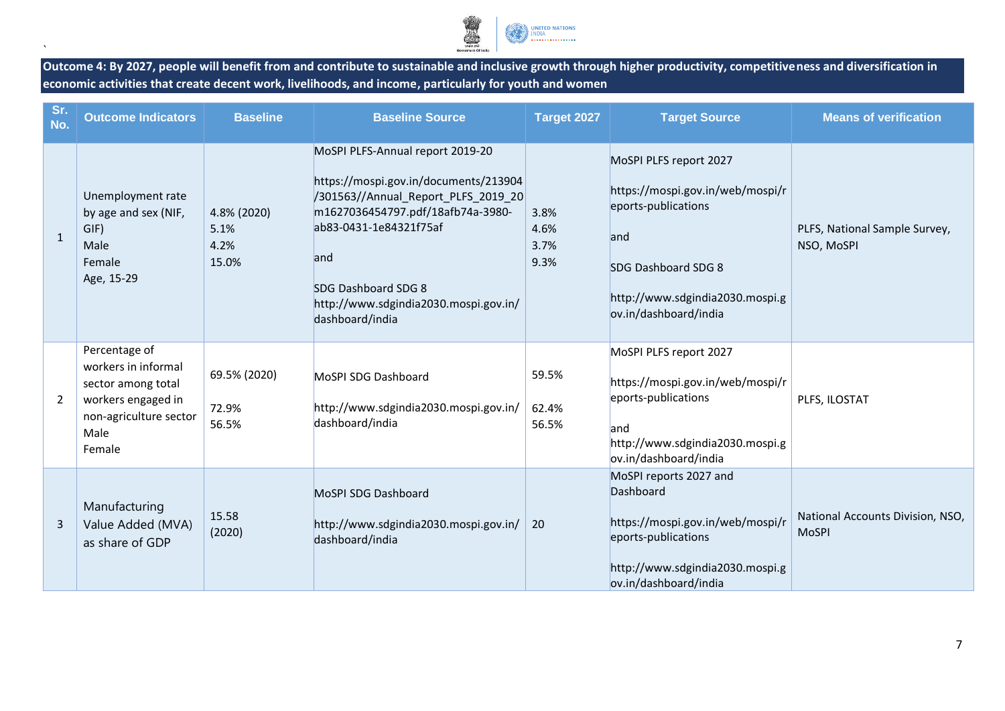

**Outcome 4: By 2027, people will benefit from and contribute to sustainable and inclusive growth through higher productivity, competitiveness and diversification in economic activities that create decent work, livelihoods, and income, particularly for youth and women**

| Sr.<br>No.     | <b>Outcome Indicators</b>                                                                                                    | <b>Baseline</b>                      | <b>Baseline Source</b>                                                                                                                                                                                                                                                    | Target 2027                  | <b>Target Source</b>                                                                                                                                                        | <b>Means of verification</b>                     |
|----------------|------------------------------------------------------------------------------------------------------------------------------|--------------------------------------|---------------------------------------------------------------------------------------------------------------------------------------------------------------------------------------------------------------------------------------------------------------------------|------------------------------|-----------------------------------------------------------------------------------------------------------------------------------------------------------------------------|--------------------------------------------------|
| $\mathbf{1}$   | Unemployment rate<br>by age and sex (NIF,<br>GIF)<br>Male<br>Female<br>Age, 15-29                                            | 4.8% (2020)<br>5.1%<br>4.2%<br>15.0% | MoSPI PLFS-Annual report 2019-20<br>https://mospi.gov.in/documents/213904<br>/301563//Annual_Report_PLFS_2019_20<br>m1627036454797.pdf/18afb74a-3980-<br>ab83-0431-1e84321f75af<br>and<br>SDG Dashboard SDG 8<br>http://www.sdgindia2030.mospi.gov.in/<br>dashboard/india | 3.8%<br>4.6%<br>3.7%<br>9.3% | MoSPI PLFS report 2027<br>https://mospi.gov.in/web/mospi/r<br>eports-publications<br>and<br>SDG Dashboard SDG 8<br>http://www.sdgindia2030.mospi.g<br>ov.in/dashboard/india | PLFS, National Sample Survey,<br>NSO, MoSPI      |
| $\overline{2}$ | Percentage of<br>workers in informal<br>sector among total<br>workers engaged in<br>non-agriculture sector<br>Male<br>Female | 69.5% (2020)<br>72.9%<br>56.5%       | MoSPI SDG Dashboard<br>http://www.sdgindia2030.mospi.gov.in/<br>dashboard/india                                                                                                                                                                                           | 59.5%<br>62.4%<br>56.5%      | MoSPI PLFS report 2027<br>https://mospi.gov.in/web/mospi/r<br>eports-publications<br>land<br>http://www.sdgindia2030.mospi.g<br>ov.in/dashboard/india                       | PLFS, ILOSTAT                                    |
| 3              | Manufacturing<br>Value Added (MVA)<br>as share of GDP                                                                        | 15.58<br>(2020)                      | MoSPI SDG Dashboard<br>http://www.sdgindia2030.mospi.gov.in/<br>dashboard/india                                                                                                                                                                                           | 20                           | MoSPI reports 2027 and<br>Dashboard<br>https://mospi.gov.in/web/mospi/r<br>eports-publications<br>http://www.sdgindia2030.mospi.g<br>ov.in/dashboard/india                  | National Accounts Division, NSO,<br><b>MoSPI</b> |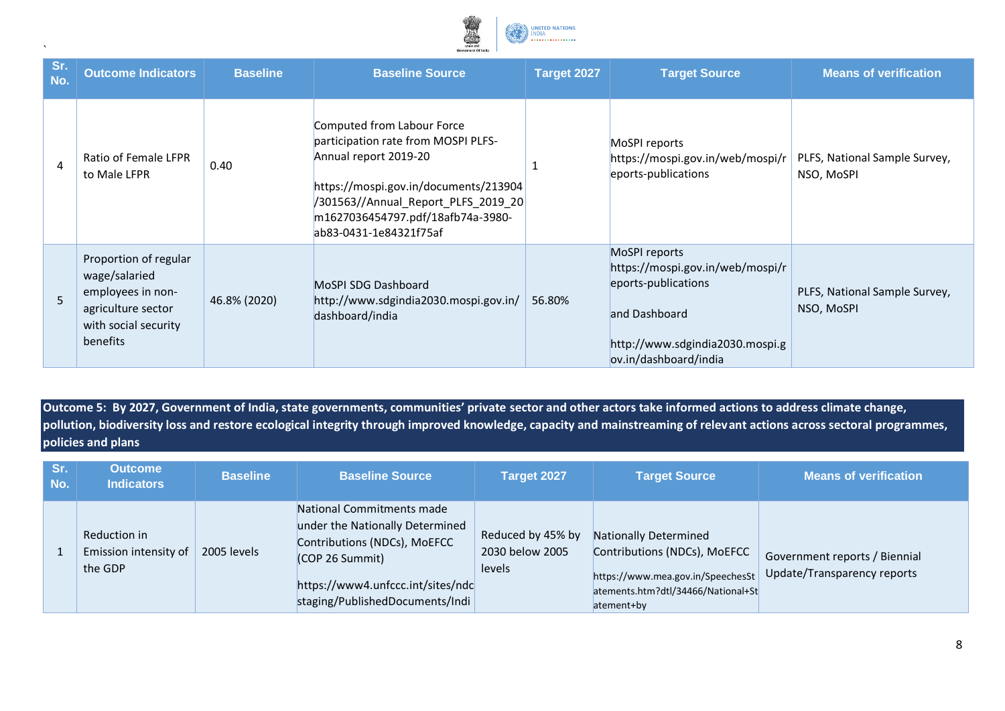

|            | Governent Of India                                                                                                    |                 |                                                                                                                                                                                                                                           |             |                                                                                                                                                       |                                             |  |
|------------|-----------------------------------------------------------------------------------------------------------------------|-----------------|-------------------------------------------------------------------------------------------------------------------------------------------------------------------------------------------------------------------------------------------|-------------|-------------------------------------------------------------------------------------------------------------------------------------------------------|---------------------------------------------|--|
| Sr.<br>No. | <b>Outcome Indicators</b>                                                                                             | <b>Baseline</b> | <b>Baseline Source</b>                                                                                                                                                                                                                    | Target 2027 | <b>Target Source</b>                                                                                                                                  | <b>Means of verification</b>                |  |
| 4          | Ratio of Female LFPR<br>to Male LFPR                                                                                  | 0.40            | Computed from Labour Force<br>participation rate from MOSPI PLFS-<br>Annual report 2019-20<br>https://mospi.gov.in/documents/213904<br>/301563//Annual_Report_PLFS_2019_20<br>m1627036454797.pdf/18afb74a-3980-<br>ab83-0431-1e84321f75af |             | MoSPI reports<br>https://mospi.gov.in/web/mospi/r<br>eports-publications                                                                              | PLFS, National Sample Survey,<br>NSO, MoSPI |  |
| 5          | Proportion of regular<br>wage/salaried<br>employees in non-<br>agriculture sector<br>with social security<br>benefits | 46.8% (2020)    | MoSPI SDG Dashboard<br>http://www.sdgindia2030.mospi.gov.in/<br>dashboard/india                                                                                                                                                           | 56.80%      | MoSPI reports<br>https://mospi.gov.in/web/mospi/r<br>eports-publications<br>and Dashboard<br>http://www.sdgindia2030.mospi.g<br>ov.in/dashboard/india | PLFS, National Sample Survey,<br>NSO, MoSPI |  |

**Outcome 5: By 2027, Government of India, state governments, communities' private sector and other actors take informed actions to address climate change, pollution, biodiversity loss and restore ecological integrity through improved knowledge, capacity and mainstreaming of relevant actions across sectoral programmes, policies and plans**

| Sr.<br>No. | <b>Outcome</b><br><b>Indicators</b>              | <b>Baseline</b> | <b>Baseline Source</b>                                                                                                                                                                  | Target 2027                                    | <b>Target Source</b>                                                                                                                           | <b>Means of verification</b>                                 |
|------------|--------------------------------------------------|-----------------|-----------------------------------------------------------------------------------------------------------------------------------------------------------------------------------------|------------------------------------------------|------------------------------------------------------------------------------------------------------------------------------------------------|--------------------------------------------------------------|
|            | Reduction in<br>Emission intensity of<br>the GDP | 2005 levels     | National Commitments made<br>under the Nationally Determined<br>Contributions (NDCs), MoEFCC<br>(COP 26 Summit)<br>https://www4.unfccc.int/sites/ndc<br>staging/PublishedDocuments/Indi | Reduced by 45% by<br>2030 below 2005<br>levels | Nationally Determined<br>Contributions (NDCs), MoEFCC<br>https://www.mea.gov.in/SpeechesSt<br>atements.htm?dtl/34466/National+St<br>atement+by | Government reports / Biennial<br>Update/Transparency reports |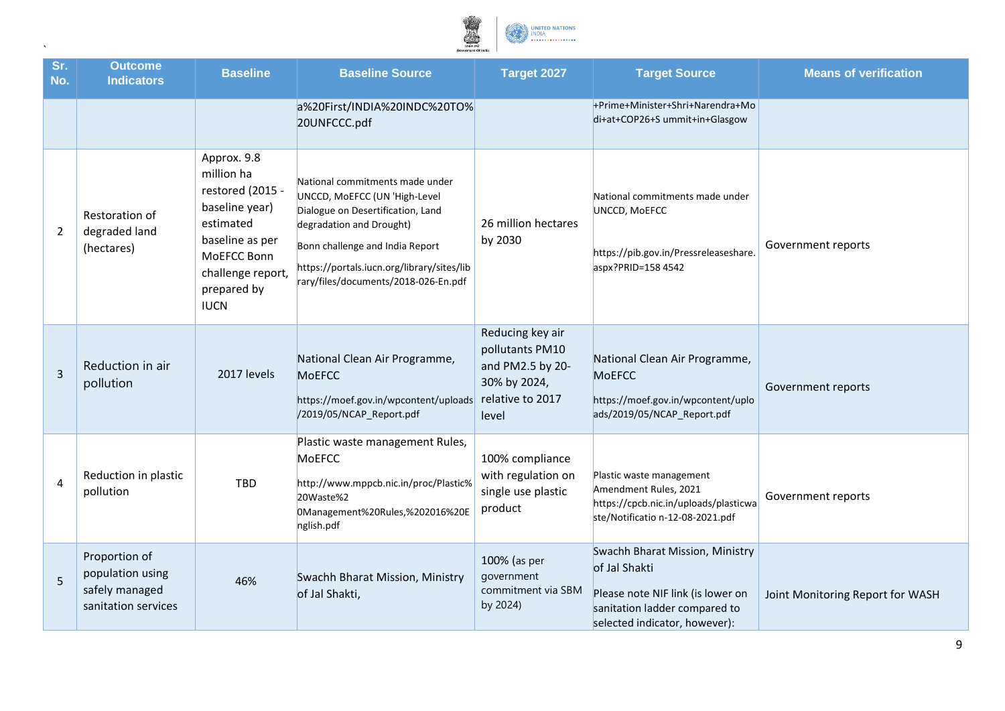

| Sr.<br>No.     | <b>Outcome</b><br><b>Indicators</b>                                        | <b>Baseline</b>                                                                                                                                                   | <b>Baseline Source</b>                                                                                                                                                                                                                                     | Target 2027                                                                                          | <b>Target Source</b>                                                                                                                                    | <b>Means of verification</b>     |
|----------------|----------------------------------------------------------------------------|-------------------------------------------------------------------------------------------------------------------------------------------------------------------|------------------------------------------------------------------------------------------------------------------------------------------------------------------------------------------------------------------------------------------------------------|------------------------------------------------------------------------------------------------------|---------------------------------------------------------------------------------------------------------------------------------------------------------|----------------------------------|
|                |                                                                            |                                                                                                                                                                   | a%20First/INDIA%20INDC%20TO%<br>20UNFCCC.pdf                                                                                                                                                                                                               |                                                                                                      | +Prime+Minister+Shri+Narendra+Mo<br>di+at+COP26+S ummit+in+Glasgow                                                                                      |                                  |
| 2              | Restoration of<br>degraded land<br>(hectares)                              | Approx. 9.8<br>million ha<br>restored (2015 -<br>baseline year)<br>estimated<br>baseline as per<br>MoEFCC Bonn<br>challenge report,<br>prepared by<br><b>IUCN</b> | National commitments made under<br>UNCCD, MoEFCC (UN 'High-Level<br>Dialogue on Desertification, Land<br>degradation and Drought)<br>Bonn challenge and India Report<br>https://portals.iucn.org/library/sites/lib<br>rary/files/documents/2018-026-En.pdf | 26 million hectares<br>by 2030                                                                       | National commitments made under<br>UNCCD, MOEFCC<br>https://pib.gov.in/Pressreleaseshare.<br>aspx?PRID=158 4542                                         | Government reports               |
| $\overline{3}$ | Reduction in air<br>pollution                                              | 2017 levels                                                                                                                                                       | National Clean Air Programme,<br>MoEFCC<br>https://moef.gov.in/wpcontent/uploads<br>/2019/05/NCAP_Report.pdf                                                                                                                                               | Reducing key air<br>pollutants PM10<br>and PM2.5 by 20-<br>30% by 2024,<br>relative to 2017<br>level | National Clean Air Programme,<br><b>MoEFCC</b><br>https://moef.gov.in/wpcontent/uplo<br>ads/2019/05/NCAP Report.pdf                                     | Government reports               |
| 4              | Reduction in plastic<br>pollution                                          | TBD                                                                                                                                                               | Plastic waste management Rules,<br><b>MoEFCC</b><br>http://www.mppcb.nic.in/proc/Plastic%<br>20Waste%2<br>0Management%20Rules,%202016%20E<br>nglish.pdf                                                                                                    | 100% compliance<br>with regulation on<br>single use plastic<br>product                               | Plastic waste management<br>Amendment Rules, 2021<br>https://cpcb.nic.in/uploads/plasticwa<br>ste/Notificatio n-12-08-2021.pdf                          | Government reports               |
| 5              | Proportion of<br>population using<br>safely managed<br>sanitation services | 46%                                                                                                                                                               | Swachh Bharat Mission, Ministry<br>of Jal Shakti,                                                                                                                                                                                                          | 100% (as per<br>government<br>commitment via SBM<br>by 2024)                                         | Swachh Bharat Mission, Ministry<br>of Jal Shakti<br>Please note NIF link (is lower on<br>sanitation ladder compared to<br>selected indicator, however): | Joint Monitoring Report for WASH |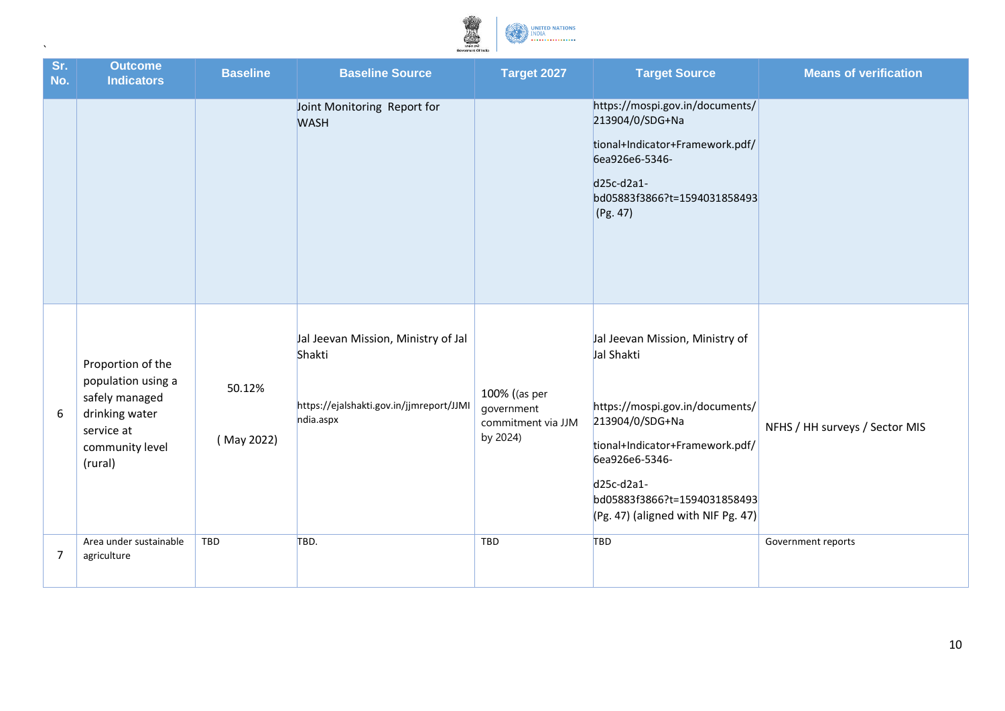

| Sr.<br>No. | <b>Outcome</b><br><b>Indicators</b>                                                                                     | <b>Baseline</b>      | <b>Baseline Source</b>                                                                                 | Target 2027                                                   | <b>Target Source</b>                                                                                                                                                                                                                           | <b>Means of verification</b>   |
|------------|-------------------------------------------------------------------------------------------------------------------------|----------------------|--------------------------------------------------------------------------------------------------------|---------------------------------------------------------------|------------------------------------------------------------------------------------------------------------------------------------------------------------------------------------------------------------------------------------------------|--------------------------------|
|            |                                                                                                                         |                      | Joint Monitoring Report for<br><b>WASH</b>                                                             |                                                               | https://mospi.gov.in/documents/<br>213904/0/SDG+Na<br>tional+Indicator+Framework.pdf/<br>6ea926e6-5346-<br>$d25c-d2a1-$<br>bd05883f3866?t=1594031858493<br>(Pg. 47)                                                                            |                                |
| 6          | Proportion of the<br>population using a<br>safely managed<br>drinking water<br>service at<br>community level<br>(rural) | 50.12%<br>(May 2022) | Jal Jeevan Mission, Ministry of Jal<br>Shakti<br>https://ejalshakti.gov.in/jjmreport/JJMI<br>ndia.aspx | 100% ((as per<br>government<br>commitment via JJM<br>by 2024) | Jal Jeevan Mission, Ministry of<br>Jal Shakti<br>https://mospi.gov.in/documents/<br>213904/0/SDG+Na<br>tional+Indicator+Framework.pdf/<br>6ea926e6-5346-<br>d25c-d2a1-<br>bd05883f3866?t=1594031858493<br>$(Pg. 47)$ (aligned with NIF Pg. 47) | NFHS / HH surveys / Sector MIS |
| 7          | Area under sustainable<br>agriculture                                                                                   | TBD                  | TBD.                                                                                                   | TBD                                                           | TBD                                                                                                                                                                                                                                            | Government reports             |
|            |                                                                                                                         |                      |                                                                                                        |                                                               |                                                                                                                                                                                                                                                |                                |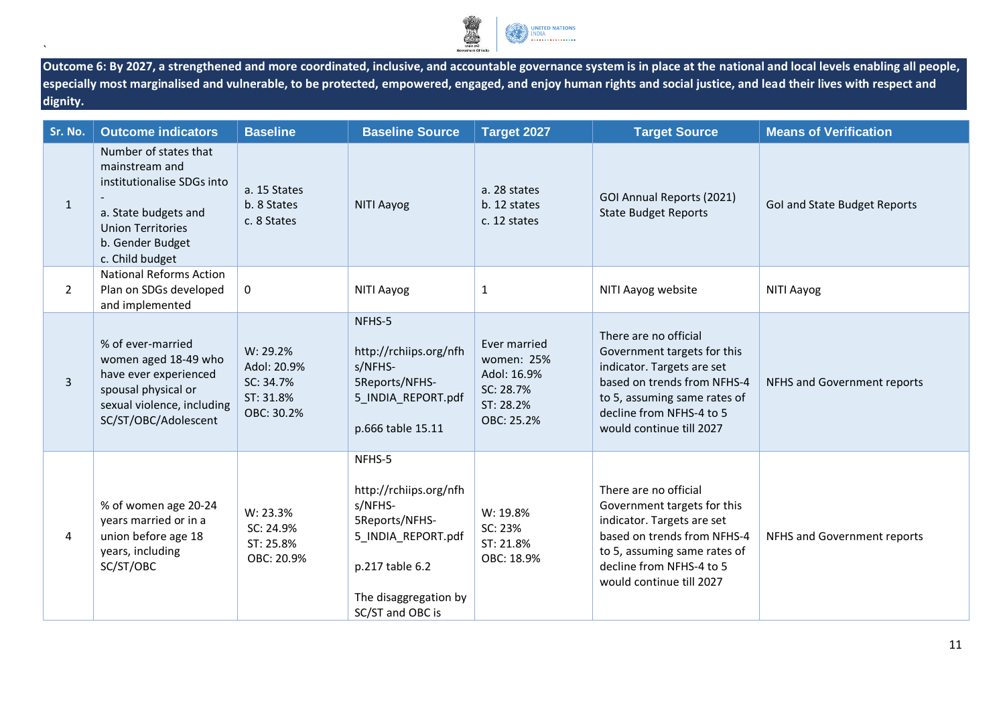

**Outcome 6: By 2027, a strengthened and more coordinated, inclusive, and accountable governance system is in place at the national and local levels enabling all people, especially most marginalised and vulnerable, to be protected, empowered, engaged, and enjoy human rights and social justice, and lead their lives with respect and dignity.**

| Sr. No.        | <b>Outcome indicators</b>                                                                                                                                        | <b>Baseline</b>                                                 | <b>Baseline Source</b>                                                                                                                              | Target 2027                                                                       | <b>Target Source</b>                                                                                                                                                                                      | <b>Means of Verification</b> |
|----------------|------------------------------------------------------------------------------------------------------------------------------------------------------------------|-----------------------------------------------------------------|-----------------------------------------------------------------------------------------------------------------------------------------------------|-----------------------------------------------------------------------------------|-----------------------------------------------------------------------------------------------------------------------------------------------------------------------------------------------------------|------------------------------|
| $\mathbf{1}$   | Number of states that<br>mainstream and<br>institutionalise SDGs into<br>a. State budgets and<br><b>Union Territories</b><br>b. Gender Budget<br>c. Child budget | a. 15 States<br>b. 8 States<br>c. 8 States                      | NITI Aayog                                                                                                                                          | a. 28 states<br>b. 12 states<br>c. 12 states                                      | GOI Annual Reports (2021)<br><b>State Budget Reports</b>                                                                                                                                                  | Gol and State Budget Reports |
| $\overline{2}$ | <b>National Reforms Action</b><br>Plan on SDGs developed<br>and implemented                                                                                      | 0                                                               | NITI Aayog                                                                                                                                          | $\mathbf{1}$                                                                      | NITI Aayog website                                                                                                                                                                                        | NITI Aayog                   |
| $\overline{3}$ | % of ever-married<br>women aged 18-49 who<br>have ever experienced<br>spousal physical or<br>sexual violence, including<br>SC/ST/OBC/Adolescent                  | W: 29.2%<br>Adol: 20.9%<br>SC: 34.7%<br>ST: 31.8%<br>OBC: 30.2% | NFHS-5<br>http://rchiips.org/nfh<br>s/NFHS-<br>5Reports/NFHS-<br>5 INDIA REPORT.pdf<br>p.666 table 15.11                                            | Ever married<br>women: 25%<br>Adol: 16.9%<br>SC: 28.7%<br>ST: 28.2%<br>OBC: 25.2% | There are no official<br>Government targets for this<br>indicator. Targets are set<br>based on trends from NFHS-4<br>to 5, assuming same rates of<br>decline from NFHS-4 to 5<br>would continue till 2027 | NFHS and Government reports  |
| 4              | % of women age 20-24<br>years married or in a<br>union before age 18<br>years, including<br>SC/ST/OBC                                                            | W: 23.3%<br>SC: 24.9%<br>ST: 25.8%<br>OBC: 20.9%                | NFHS-5<br>http://rchiips.org/nfh<br>s/NFHS-<br>5Reports/NFHS-<br>5_INDIA_REPORT.pdf<br>p.217 table 6.2<br>The disaggregation by<br>SC/ST and OBC is | W: 19.8%<br>SC: 23%<br>ST: 21.8%<br>OBC: 18.9%                                    | There are no official<br>Government targets for this<br>indicator. Targets are set<br>based on trends from NFHS-4<br>to 5, assuming same rates of<br>decline from NFHS-4 to 5<br>would continue till 2027 | NFHS and Government reports  |